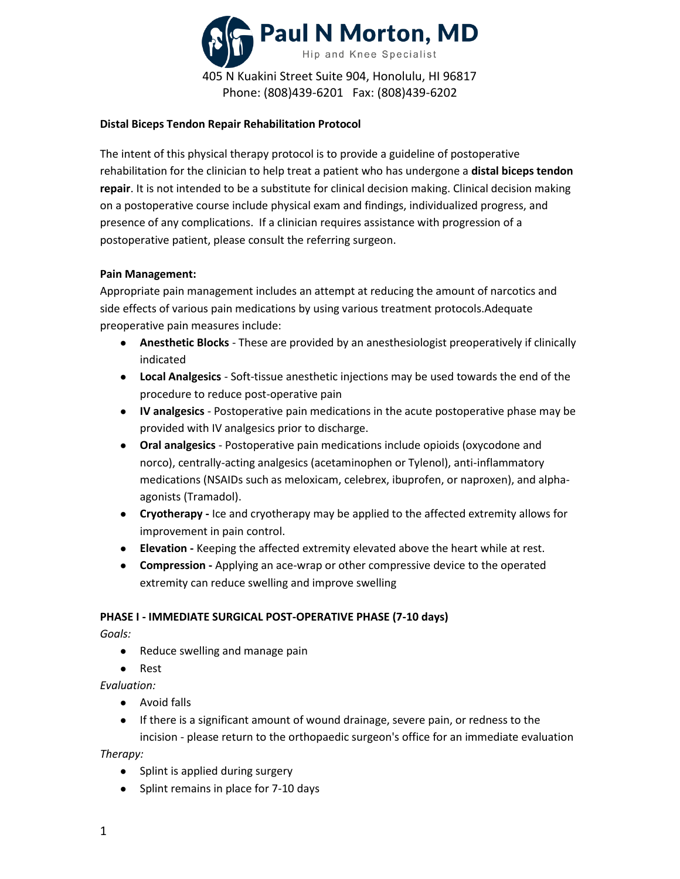

### **Distal Biceps Tendon Repair Rehabilitation Protocol**

The intent of this physical therapy protocol is to provide a guideline of postoperative rehabilitation for the clinician to help treat a patient who has undergone a **distal biceps tendon repair**. It is not intended to be a substitute for clinical decision making. Clinical decision making on a postoperative course include physical exam and findings, individualized progress, and presence of any complications. If a clinician requires assistance with progression of a postoperative patient, please consult the referring surgeon.

### **Pain Management:**

Appropriate pain management includes an attempt at reducing the amount of narcotics and side effects of various pain medications by using various treatment protocols.Adequate preoperative pain measures include:

- **Anesthetic Blocks** These are provided by an anesthesiologist preoperatively if clinically indicated
- **Local Analgesics** Soft-tissue anesthetic injections may be used towards the end of the procedure to reduce post-operative pain
- **IV analgesics** Postoperative pain medications in the acute postoperative phase may be provided with IV analgesics prior to discharge.
- **Oral analgesics** Postoperative pain medications include opioids (oxycodone and norco), centrally-acting analgesics (acetaminophen or Tylenol), anti-inflammatory medications (NSAIDs such as meloxicam, celebrex, ibuprofen, or naproxen), and alphaagonists (Tramadol).
- **Cryotherapy -** Ice and cryotherapy may be applied to the affected extremity allows for improvement in pain control.
- **Elevation -** Keeping the affected extremity elevated above the heart while at rest.
- **Compression -** Applying an ace-wrap or other compressive device to the operated extremity can reduce swelling and improve swelling

#### **PHASE I - IMMEDIATE SURGICAL POST-OPERATIVE PHASE (7-10 days)**

*Goals:* 

- Reduce swelling and manage pain
- Rest

*Evaluation:*

- Avoid falls
- If there is a significant amount of wound drainage, severe pain, or redness to the incision - please return to the orthopaedic surgeon's office for an immediate evaluation

*Therapy:*

- Splint is applied during surgery
- Splint remains in place for 7-10 days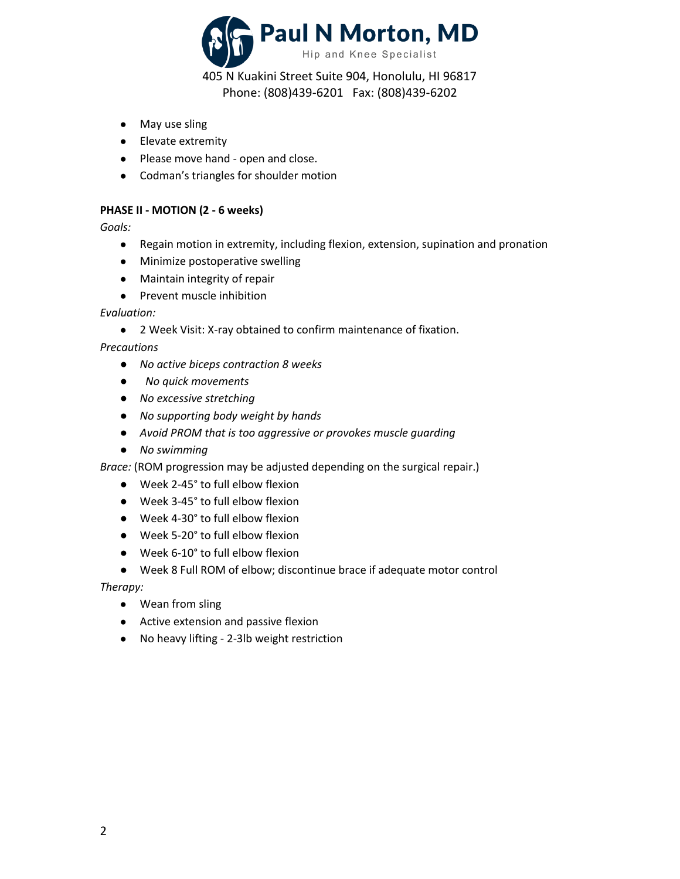

405 N Kuakini Street Suite 904, Honolulu, HI 96817 Phone: (808)439-6201 Fax: (808)439-6202

- May use sling
- Elevate extremity
- Please move hand open and close.
- Codman's triangles for shoulder motion

## **PHASE II - MOTION (2 - 6 weeks)**

*Goals:*

- Regain motion in extremity, including flexion, extension, supination and pronation
- Minimize postoperative swelling
- Maintain integrity of repair
- Prevent muscle inhibition

### *Evaluation:*

● 2 Week Visit: X-ray obtained to confirm maintenance of fixation.

*Precautions*

- *No active biceps contraction 8 weeks*
- ● *No quick movements*
- *No excessive stretching*
- *No supporting body weight by hands*
- *Avoid PROM that is too aggressive or provokes muscle guarding*
- *No swimming*

*Brace:* (ROM progression may be adjusted depending on the surgical repair.)

- Week 2-45° to full elbow flexion
- Week 3-45° to full elbow flexion
- Week 4-30° to full elbow flexion
- Week 5-20° to full elbow flexion
- Week 6-10° to full elbow flexion
- Week 8 Full ROM of elbow; discontinue brace if adequate motor control

*Therapy:*

- Wean from sling
- Active extension and passive flexion
- No heavy lifting 2-3lb weight restriction